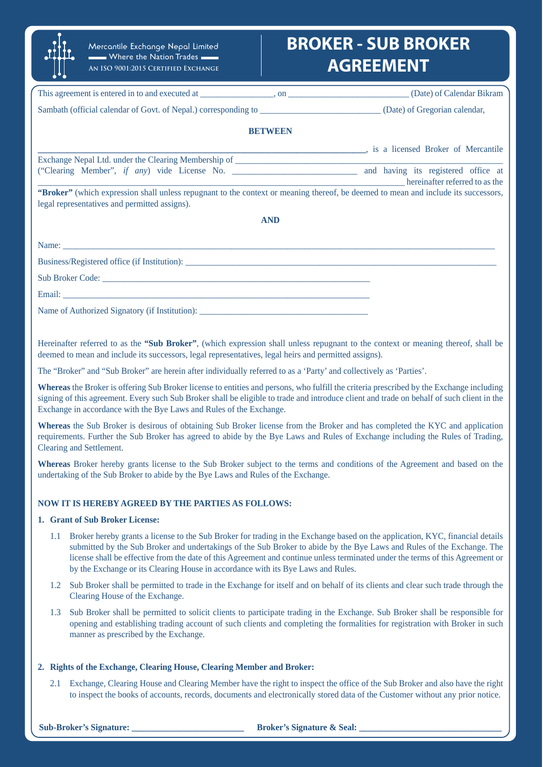# **BROKER - SUB BROKER AGREEMENT**

| .                                                                                                                                                                                   |                |                                    |
|-------------------------------------------------------------------------------------------------------------------------------------------------------------------------------------|----------------|------------------------------------|
|                                                                                                                                                                                     |                |                                    |
|                                                                                                                                                                                     |                |                                    |
|                                                                                                                                                                                     | <b>BETWEEN</b> |                                    |
|                                                                                                                                                                                     |                | is a licensed Broker of Mercantile |
|                                                                                                                                                                                     |                |                                    |
|                                                                                                                                                                                     |                |                                    |
| "Broker" (which expression shall unless repugnant to the context or meaning thereof, be deemed to mean and include its successors,<br>legal representatives and permitted assigns). |                |                                    |
|                                                                                                                                                                                     | <b>AND</b>     |                                    |
|                                                                                                                                                                                     |                |                                    |
|                                                                                                                                                                                     |                |                                    |
|                                                                                                                                                                                     |                |                                    |
|                                                                                                                                                                                     |                |                                    |
| Name of Authorized Signatory (if Institution): __________________________________                                                                                                   |                |                                    |

Hereinafter referred to as the **"Sub Broker"**, (which expression shall unless repugnant to the context or meaning thereof, shall be deemed to mean and include its successors, legal representatives, legal heirs and permitted assigns).

The "Broker" and "Sub Broker" are herein after individually referred to as a 'Party' and collectively as 'Parties'.

**Whereas** the Broker is offering Sub Broker license to entities and persons, who fulfill the criteria prescribed by the Exchange including signing of this agreement. Every such Sub Broker shall be eligible to trade and introduce client and trade on behalf of such client in the Exchange in accordance with the Bye Laws and Rules of the Exchange.

**Whereas** the Sub Broker is desirous of obtaining Sub Broker license from the Broker and has completed the KYC and application requirements. Further the Sub Broker has agreed to abide by the Bye Laws and Rules of Exchange including the Rules of Trading, Clearing and Settlement.

**Whereas** Broker hereby grants license to the Sub Broker subject to the terms and conditions of the Agreement and based on the undertaking of the Sub Broker to abide by the Bye Laws and Rules of the Exchange.

# **NOW IT IS HEREBY AGREED BY THE PARTIES AS FOLLOWS:**

Mercantile Exchange Nepal Limited  $\blacksquare$  Where the Nation Trades  $\blacksquare$ **An ISO 9001:2015 Certified Exchange**

# **1. Grant of Sub Broker License:**

- 1.1 Broker hereby grants a license to the Sub Broker for trading in the Exchange based on the application, KYC, financial details submitted by the Sub Broker and undertakings of the Sub Broker to abide by the Bye Laws and Rules of the Exchange. The license shall be effective from the date of this Agreement and continue unless terminated under the terms of this Agreement or by the Exchange or its Clearing House in accordance with its Bye Laws and Rules.
- 1.2 Sub Broker shall be permitted to trade in the Exchange for itself and on behalf of its clients and clear such trade through the Clearing House of the Exchange.
- 1.3 Sub Broker shall be permitted to solicit clients to participate trading in the Exchange. Sub Broker shall be responsible for opening and establishing trading account of such clients and completing the formalities for registration with Broker in such manner as prescribed by the Exchange.

## **2. Rights of the Exchange, Clearing House, Clearing Member and Broker:**

2.1 Exchange, Clearing House and Clearing Member have the right to inspect the office of the Sub Broker and also have the right to inspect the books of accounts, records, documents and electronically stored data of the Customer without any prior notice.

#### **Sub-Broker's Signature:**  $\qquad \qquad$  **Broker's Signature & Seal:**  $\qquad \qquad$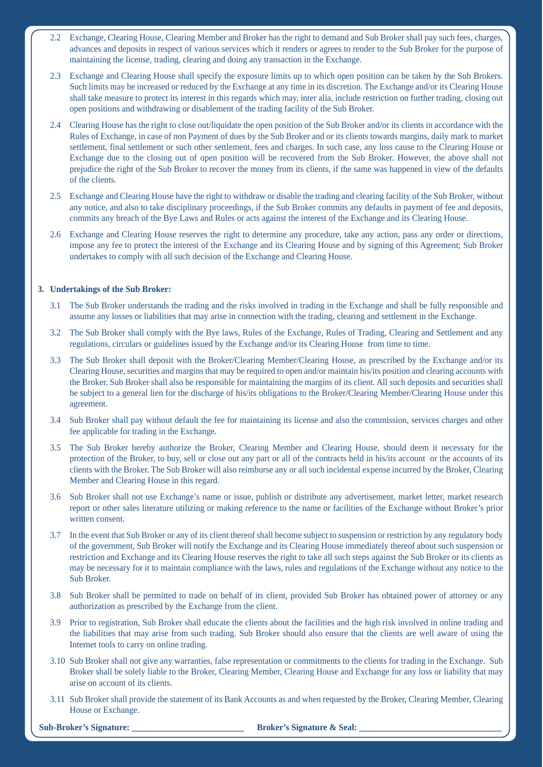- 2.2 Exchange, Clearing House, Clearing Member and Broker has the right to demand and Sub Broker shall pay such fees, charges, advances and deposits in respect of various services which it renders or agrees to render to the Sub Broker for the purpose of maintaining the license, trading, clearing and doing any transaction in the Exchange.
- 2.3 Exchange and Clearing House shall specify the exposure limits up to which open position can be taken by the Sub Brokers. Such limits may be increased or reduced by the Exchange at any time in its discretion. The Exchange and/or its Clearing House shall take measure to protect its interest in this regards which may, inter alia, include restriction on further trading, closing out open positions and withdrawing or disablement of the trading facility of the Sub Broker.
- 2.4 Clearing House has the right to close out/liquidate the open position of the Sub Broker and/or its clients in accordance with the Rules of Exchange, in case of non Payment of dues by the Sub Broker and or its clients towards margins, daily mark to market settlement, final settlement or such other settlement, fees and charges. In such case, any loss cause to the Clearing House or Exchange due to the closing out of open position will be recovered from the Sub Broker. However, the above shall not prejudice the right of the Sub Broker to recover the money from its clients, if the same was happened in view of the defaults of the clients.
- 2.5 Exchange and Clearing House have the right to withdraw or disable the trading and clearing facility of the Sub Broker, without any notice, and also to take disciplinary proceedings, if the Sub Broker commits any defaults in payment of fee and deposits, commits any breach of the Bye Laws and Rules or acts against the interest of the Exchange and its Clearing House.
- 2.6 Exchange and Clearing House reserves the right to determine any procedure, take any action, pass any order or directions, impose any fee to protect the interest of the Exchange and its Clearing House and by signing of this Agreement; Sub Broker undertakes to comply with all such decision of the Exchange and Clearing House.

# **3. Undertakings of the Sub Broker:**

- 3.1 The Sub Broker understands the trading and the risks involved in trading in the Exchange and shall be fully responsible and assume any losses or liabilities that may arise in connection with the trading, clearing and settlement in the Exchange.
- 3.2 The Sub Broker shall comply with the Bye laws, Rules of the Exchange, Rules of Trading, Clearing and Settlement and any regulations, circulars or guidelines issued by the Exchange and/or its Clearing House from time to time.
- 3.3 The Sub Broker shall deposit with the Broker/Clearing Member/Clearing House, as prescribed by the Exchange and/or its Clearing House, securities and margins that may be required to open and/or maintain his/its position and clearing accounts with the Broker. Sub Broker shall also be responsible for maintaining the margins of its client. All such deposits and securities shall be subject to a general lien for the discharge of his/its obligations to the Broker/Clearing Member/Clearing House under this agreement.
- 3.4 Sub Broker shall pay without default the fee for maintaining its license and also the commission, services charges and other fee applicable for trading in the Exchange.
- 3.5 The Sub Broker hereby authorize the Broker, Clearing Member and Clearing House, should deem it necessary for the protection of the Broker, to buy, sell or close out any part or all of the contracts held in his/its account or the accounts of its clients with the Broker. The Sub Broker will also reimburse any or all such incidental expense incurred by the Broker, Clearing Member and Clearing House in this regard.
- 3.6 Sub Broker shall not use Exchange's name or issue, publish or distribute any advertisement, market letter, market research report or other sales literature utilizing or making reference to the name or facilities of the Exchange without Broker's prior written consent.
- 3.7 In the event that Sub Broker or any of its client thereof shall become subject to suspension or restriction by any regulatory body of the government, Sub Broker will notify the Exchange and its Clearing House immediately thereof about such suspension or restriction and Exchange and its Clearing House reserves the right to take all such steps against the Sub Broker or its clients as may be necessary for it to maintain compliance with the laws, rules and regulations of the Exchange without any notice to the Sub Broker.
- 3.8 Sub Broker shall be permitted to trade on behalf of its client, provided Sub Broker has obtained power of attorney or any authorization as prescribed by the Exchange from the client.
- 3.9 Prior to registration, Sub Broker shall educate the clients about the facilities and the high risk involved in online trading and the liabilities that may arise from such trading. Sub Broker should also ensure that the clients are well aware of using the Internet tools to carry on online trading.
- 3.10 Sub Broker shall not give any warranties, false representation or commitments to the clients for trading in the Exchange. Sub Broker shall be solely liable to the Broker, Clearing Member, Clearing House and Exchange for any loss or liability that may arise on account of its clients.
- 3.11 Sub Broker shall provide the statement of its Bank Accounts as and when requested by the Broker, Clearing Member, Clearing House or Exchange.

**Broker's Signature & Seal:**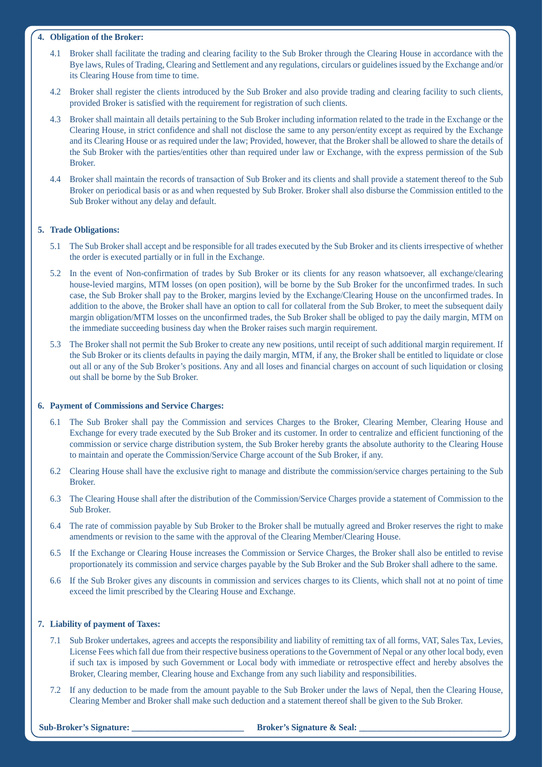# **4. Obligation of the Broker:**

- 4.1 Broker shall facilitate the trading and clearing facility to the Sub Broker through the Clearing House in accordance with the Bye laws, Rules of Trading, Clearing and Settlement and any regulations, circulars or guidelines issued by the Exchange and/or its Clearing House from time to time.
- 4.2 Broker shall register the clients introduced by the Sub Broker and also provide trading and clearing facility to such clients, provided Broker is satisfied with the requirement for registration of such clients.
- 4.3 Broker shall maintain all details pertaining to the Sub Broker including information related to the trade in the Exchange or the Clearing House, in strict confidence and shall not disclose the same to any person/entity except as required by the Exchange and its Clearing House or as required under the law; Provided, however, that the Broker shall be allowed to share the details of the Sub Broker with the parties/entities other than required under law or Exchange, with the express permission of the Sub Broker.
- 4.4 Broker shall maintain the records of transaction of Sub Broker and its clients and shall provide a statement thereof to the Sub Broker on periodical basis or as and when requested by Sub Broker. Broker shall also disburse the Commission entitled to the Sub Broker without any delay and default.

# **5. Trade Obligations:**

- 5.1 The Sub Broker shall accept and be responsible for all trades executed by the Sub Broker and its clients irrespective of whether the order is executed partially or in full in the Exchange.
- 5.2 In the event of Non-confirmation of trades by Sub Broker or its clients for any reason whatsoever, all exchange/clearing house-levied margins, MTM losses (on open position), will be borne by the Sub Broker for the unconfirmed trades. In such case, the Sub Broker shall pay to the Broker, margins levied by the Exchange/Clearing House on the unconfirmed trades. In addition to the above, the Broker shall have an option to call for collateral from the Sub Broker, to meet the subsequent daily margin obligation/MTM losses on the unconfirmed trades, the Sub Broker shall be obliged to pay the daily margin, MTM on the immediate succeeding business day when the Broker raises such margin requirement.
- 5.3 The Broker shall not permit the Sub Broker to create any new positions, until receipt of such additional margin requirement. If the Sub Broker or its clients defaults in paying the daily margin, MTM, if any, the Broker shall be entitled to liquidate or close out all or any of the Sub Broker's positions. Any and all loses and financial charges on account of such liquidation or closing out shall be borne by the Sub Broker.

## **6. Payment of Commissions and Service Charges:**

- 6.1 The Sub Broker shall pay the Commission and services Charges to the Broker, Clearing Member, Clearing House and Exchange for every trade executed by the Sub Broker and its customer. In order to centralize and efficient functioning of the commission or service charge distribution system, the Sub Broker hereby grants the absolute authority to the Clearing House to maintain and operate the Commission/Service Charge account of the Sub Broker, if any.
- 6.2 Clearing House shall have the exclusive right to manage and distribute the commission/service charges pertaining to the Sub Broker.
- 6.3 The Clearing House shall after the distribution of the Commission/Service Charges provide a statement of Commission to the Sub Broker.
- 6.4 The rate of commission payable by Sub Broker to the Broker shall be mutually agreed and Broker reserves the right to make amendments or revision to the same with the approval of the Clearing Member/Clearing House.
- 6.5 If the Exchange or Clearing House increases the Commission or Service Charges, the Broker shall also be entitled to revise proportionately its commission and service charges payable by the Sub Broker and the Sub Broker shall adhere to the same.
- 6.6 If the Sub Broker gives any discounts in commission and services charges to its Clients, which shall not at no point of time exceed the limit prescribed by the Clearing House and Exchange.

# **7. Liability of payment of Taxes:**

- 7.1 Sub Broker undertakes, agrees and accepts the responsibility and liability of remitting tax of all forms, VAT, Sales Tax, Levies, License Fees which fall due from their respective business operations to the Government of Nepal or any other local body, even if such tax is imposed by such Government or Local body with immediate or retrospective effect and hereby absolves the Broker, Clearing member, Clearing house and Exchange from any such liability and responsibilities.
- 7.2 If any deduction to be made from the amount payable to the Sub Broker under the laws of Nepal, then the Clearing House, Clearing Member and Broker shall make such deduction and a statement thereof shall be given to the Sub Broker.

## **Sub-Broker's Signature:**  $\qquad \qquad$  **Broker's Signature & Seal:**  $\qquad \qquad$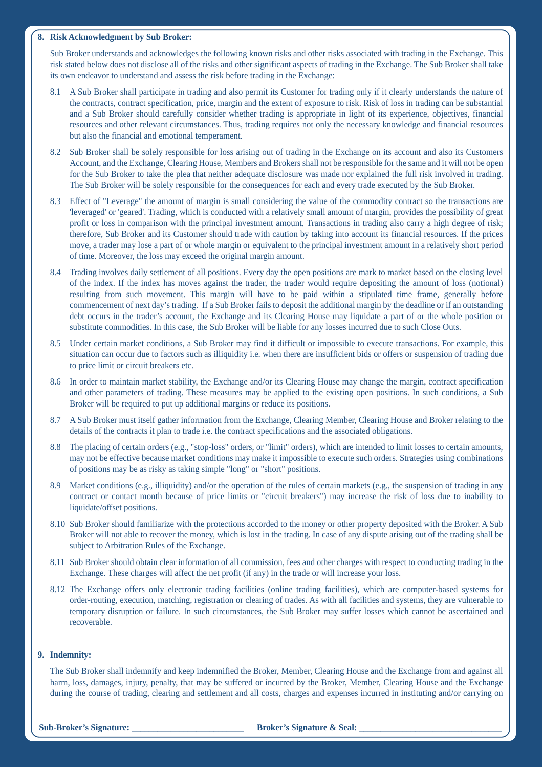#### **8. Risk Acknowledgment by Sub Broker:**

 Sub Broker understands and acknowledges the following known risks and other risks associated with trading in the Exchange. This risk stated below does not disclose all of the risks and other significant aspects of trading in the Exchange. The Sub Broker shall take its own endeavor to understand and assess the risk before trading in the Exchange:

- 8.1 A Sub Broker shall participate in trading and also permit its Customer for trading only if it clearly understands the nature of the contracts, contract specification, price, margin and the extent of exposure to risk. Risk of loss in trading can be substantial and a Sub Broker should carefully consider whether trading is appropriate in light of its experience, objectives, financial resources and other relevant circumstances. Thus, trading requires not only the necessary knowledge and financial resources but also the financial and emotional temperament.
- 8.2 Sub Broker shall be solely responsible for loss arising out of trading in the Exchange on its account and also its Customers Account, and the Exchange, Clearing House, Members and Brokers shall not be responsible for the same and it will not be open for the Sub Broker to take the plea that neither adequate disclosure was made nor explained the full risk involved in trading. The Sub Broker will be solely responsible for the consequences for each and every trade executed by the Sub Broker.
- 8.3 Effect of "Leverage" the amount of margin is small considering the value of the commodity contract so the transactions are 'leveraged' or 'geared'. Trading, which is conducted with a relatively small amount of margin, provides the possibility of great profit or loss in comparison with the principal investment amount. Transactions in trading also carry a high degree of risk; therefore, Sub Broker and its Customer should trade with caution by taking into account its financial resources. If the prices move, a trader may lose a part of or whole margin or equivalent to the principal investment amount in a relatively short period of time. Moreover, the loss may exceed the original margin amount.
- 8.4 Trading involves daily settlement of all positions. Every day the open positions are mark to market based on the closing level of the index. If the index has moves against the trader, the trader would require depositing the amount of loss (notional) resulting from such movement. This margin will have to be paid within a stipulated time frame, generally before commencement of next day's trading. If a Sub Broker fails to deposit the additional margin by the deadline or if an outstanding debt occurs in the trader's account, the Exchange and its Clearing House may liquidate a part of or the whole position or substitute commodities. In this case, the Sub Broker will be liable for any losses incurred due to such Close Outs.
- 8.5 Under certain market conditions, a Sub Broker may find it difficult or impossible to execute transactions. For example, this situation can occur due to factors such as illiquidity i.e. when there are insufficient bids or offers or suspension of trading due to price limit or circuit breakers etc.
- 8.6 In order to maintain market stability, the Exchange and/or its Clearing House may change the margin, contract specification and other parameters of trading. These measures may be applied to the existing open positions. In such conditions, a Sub Broker will be required to put up additional margins or reduce its positions.
- 8.7 A Sub Broker must itself gather information from the Exchange, Clearing Member, Clearing House and Broker relating to the details of the contracts it plan to trade i.e. the contract specifications and the associated obligations.
- 8.8 The placing of certain orders (e.g., "stop-loss" orders, or "limit" orders), which are intended to limit losses to certain amounts, may not be effective because market conditions may make it impossible to execute such orders. Strategies using combinations of positions may be as risky as taking simple "long" or "short" positions.
- 8.9 Market conditions (e.g., illiquidity) and/or the operation of the rules of certain markets (e.g., the suspension of trading in any contract or contact month because of price limits or "circuit breakers") may increase the risk of loss due to inability to liquidate/offset positions.
- 8.10 Sub Broker should familiarize with the protections accorded to the money or other property deposited with the Broker. A Sub Broker will not able to recover the money, which is lost in the trading. In case of any dispute arising out of the trading shall be subject to Arbitration Rules of the Exchange.
- 8.11 Sub Broker should obtain clear information of all commission, fees and other charges with respect to conducting trading in the Exchange. These charges will affect the net profit (if any) in the trade or will increase your loss.
- 8.12 The Exchange offers only electronic trading facilities (online trading facilities), which are computer-based systems for order-routing, execution, matching, registration or clearing of trades. As with all facilities and systems, they are vulnerable to temporary disruption or failure. In such circumstances, the Sub Broker may suffer losses which cannot be ascertained and recoverable.

# **9. Indemnity:**

 The Sub Broker shall indemnify and keep indemnified the Broker, Member, Clearing House and the Exchange from and against all harm, loss, damages, injury, penalty, that may be suffered or incurred by the Broker, Member, Clearing House and the Exchange during the course of trading, clearing and settlement and all costs, charges and expenses incurred in instituting and/or carrying on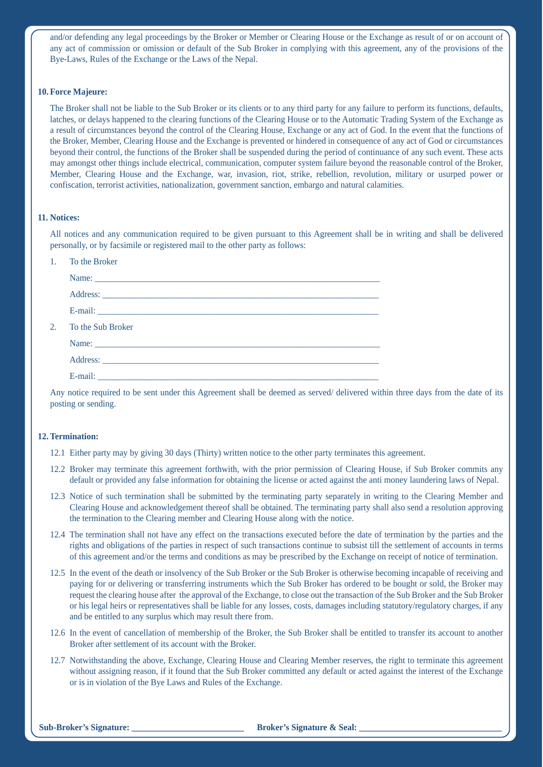and/or defending any legal proceedings by the Broker or Member or Clearing House or the Exchange as result of or on account of any act of commission or omission or default of the Sub Broker in complying with this agreement, any of the provisions of the Bye-Laws, Rules of the Exchange or the Laws of the Nepal.

#### **10. Force Majeure:**

 The Broker shall not be liable to the Sub Broker or its clients or to any third party for any failure to perform its functions, defaults, latches, or delays happened to the clearing functions of the Clearing House or to the Automatic Trading System of the Exchange as a result of circumstances beyond the control of the Clearing House, Exchange or any act of God. In the event that the functions of the Broker, Member, Clearing House and the Exchange is prevented or hindered in consequence of any act of God or circumstances beyond their control, the functions of the Broker shall be suspended during the period of continuance of any such event. These acts may amongst other things include electrical, communication, computer system failure beyond the reasonable control of the Broker, Member, Clearing House and the Exchange, war, invasion, riot, strike, rebellion, revolution, military or usurped power or confiscation, terrorist activities, nationalization, government sanction, embargo and natural calamities.

## **11. Notices:**

 All notices and any communication required to be given pursuant to this Agreement shall be in writing and shall be delivered personally, or by facsimile or registered mail to the other party as follows:

| $1_{-}$ | To the Broker     |
|---------|-------------------|
|         |                   |
|         |                   |
|         |                   |
| $2^{+}$ | To the Sub Broker |
|         |                   |
|         |                   |
|         |                   |

 Any notice required to be sent under this Agreement shall be deemed as served/ delivered within three days from the date of its posting or sending.

# **12. Termination:**

- 12.1 Either party may by giving 30 days (Thirty) written notice to the other party terminates this agreement.
- 12.2 Broker may terminate this agreement forthwith, with the prior permission of Clearing House, if Sub Broker commits any default or provided any false information for obtaining the license or acted against the anti money laundering laws of Nepal.
- 12.3 Notice of such termination shall be submitted by the terminating party separately in writing to the Clearing Member and Clearing House and acknowledgement thereof shall be obtained. The terminating party shall also send a resolution approving the termination to the Clearing member and Clearing House along with the notice.
- 12.4 The termination shall not have any effect on the transactions executed before the date of termination by the parties and the rights and obligations of the parties in respect of such transactions continue to subsist till the settlement of accounts in terms of this agreement and/or the terms and conditions as may be prescribed by the Exchange on receipt of notice of termination.
- 12.5 In the event of the death or insolvency of the Sub Broker or the Sub Broker is otherwise becoming incapable of receiving and paying for or delivering or transferring instruments which the Sub Broker has ordered to be bought or sold, the Broker may request the clearing house after the approval of the Exchange, to close out the transaction of the Sub Broker and the Sub Broker or his legal heirs or representatives shall be liable for any losses, costs, damages including statutory/regulatory charges, if any and be entitled to any surplus which may result there from.
- 12.6 In the event of cancellation of membership of the Broker, the Sub Broker shall be entitled to transfer its account to another Broker after settlement of its account with the Broker.
- 12.7 Notwithstanding the above, Exchange, Clearing House and Clearing Member reserves, the right to terminate this agreement without assigning reason, if it found that the Sub Broker committed any default or acted against the interest of the Exchange or is in violation of the Bye Laws and Rules of the Exchange.

#### **Sub-Broker's Signature:**  $\qquad \qquad$  **Broker's Signature & Seal:**  $\qquad \qquad$